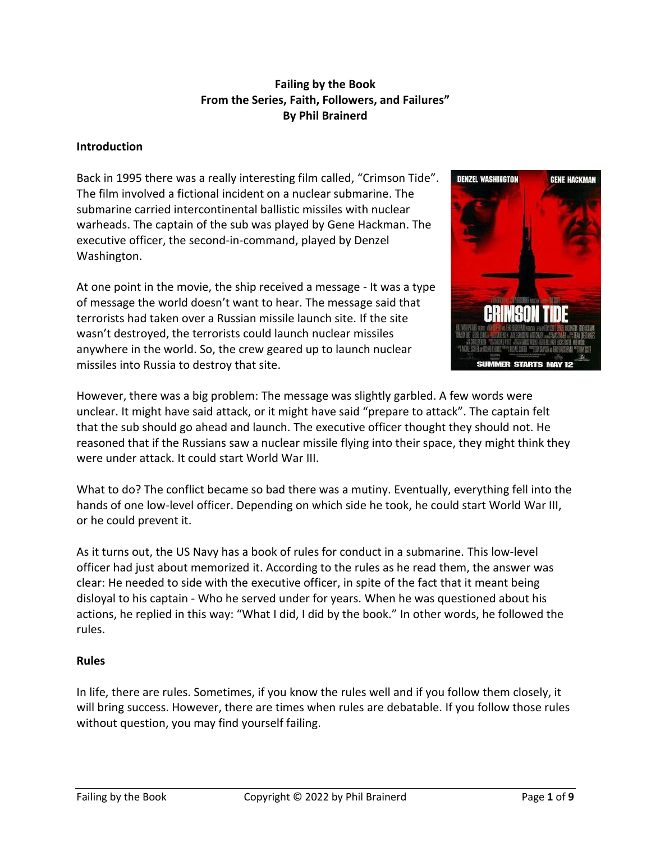## **Failing by the Book From the Series, Faith, Followers, and Failures" By Phil Brainerd**

### **Introduction**

Back in 1995 there was a really interesting film called, "Crimson Tide". The film involved a fictional incident on a nuclear submarine. The submarine carried intercontinental ballistic missiles with nuclear warheads. The captain of the sub was played by Gene Hackman. The executive officer, the second-in-command, played by Denzel Washington.

At one point in the movie, the ship received a message - It was a type of message the world doesn't want to hear. The message said that terrorists had taken over a Russian missile launch site. If the site wasn't destroyed, the terrorists could launch nuclear missiles anywhere in the world. So, the crew geared up to launch nuclear missiles into Russia to destroy that site.



However, there was a big problem: The message was slightly garbled. A few words were unclear. It might have said attack, or it might have said "prepare to attack". The captain felt that the sub should go ahead and launch. The executive officer thought they should not. He reasoned that if the Russians saw a nuclear missile flying into their space, they might think they were under attack. It could start World War III.

What to do? The conflict became so bad there was a mutiny. Eventually, everything fell into the hands of one low-level officer. Depending on which side he took, he could start World War III, or he could prevent it.

As it turns out, the US Navy has a book of rules for conduct in a submarine. This low-level officer had just about memorized it. According to the rules as he read them, the answer was clear: He needed to side with the executive officer, in spite of the fact that it meant being disloyal to his captain - Who he served under for years. When he was questioned about his actions, he replied in this way: "What I did, I did by the book." In other words, he followed the rules.

#### **Rules**

In life, there are rules. Sometimes, if you know the rules well and if you follow them closely, it will bring success. However, there are times when rules are debatable. If you follow those rules without question, you may find yourself failing.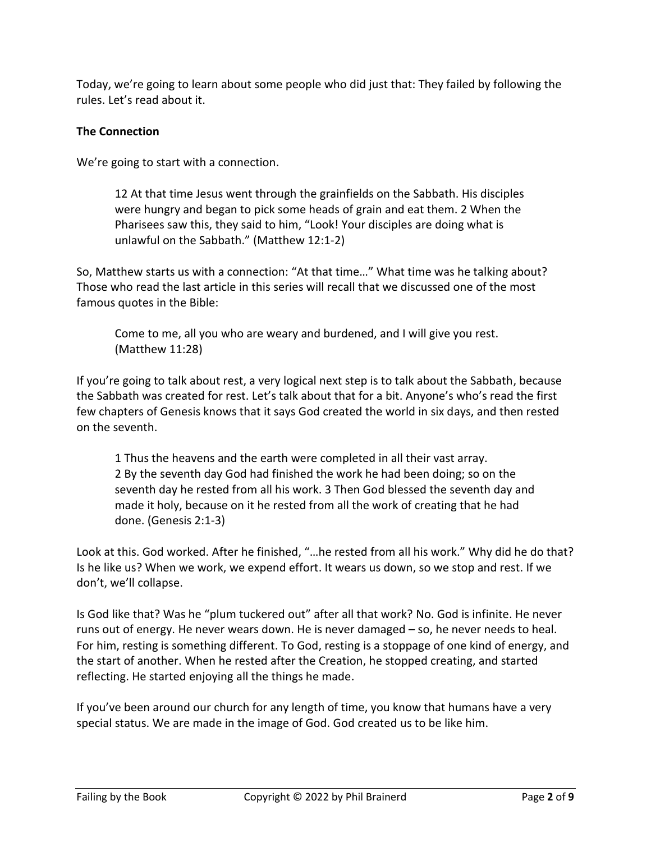Today, we're going to learn about some people who did just that: They failed by following the rules. Let's read about it.

## **The Connection**

We're going to start with a connection.

12 At that time Jesus went through the grainfields on the Sabbath. His disciples were hungry and began to pick some heads of grain and eat them. 2 When the Pharisees saw this, they said to him, "Look! Your disciples are doing what is unlawful on the Sabbath." (Matthew 12:1-2)

So, Matthew starts us with a connection: "At that time…" What time was he talking about? Those who read the last article in this series will recall that we discussed one of the most famous quotes in the Bible:

Come to me, all you who are weary and burdened, and I will give you rest. (Matthew 11:28)

If you're going to talk about rest, a very logical next step is to talk about the Sabbath, because the Sabbath was created for rest. Let's talk about that for a bit. Anyone's who's read the first few chapters of Genesis knows that it says God created the world in six days, and then rested on the seventh.

1 Thus the heavens and the earth were completed in all their vast array. 2 By the seventh day God had finished the work he had been doing; so on the seventh day he rested from all his work. 3 Then God blessed the seventh day and made it holy, because on it he rested from all the work of creating that he had done. (Genesis 2:1-3)

Look at this. God worked. After he finished, "…he rested from all his work." Why did he do that? Is he like us? When we work, we expend effort. It wears us down, so we stop and rest. If we don't, we'll collapse.

Is God like that? Was he "plum tuckered out" after all that work? No. God is infinite. He never runs out of energy. He never wears down. He is never damaged – so, he never needs to heal. For him, resting is something different. To God, resting is a stoppage of one kind of energy, and the start of another. When he rested after the Creation, he stopped creating, and started reflecting. He started enjoying all the things he made.

If you've been around our church for any length of time, you know that humans have a very special status. We are made in the image of God. God created us to be like him.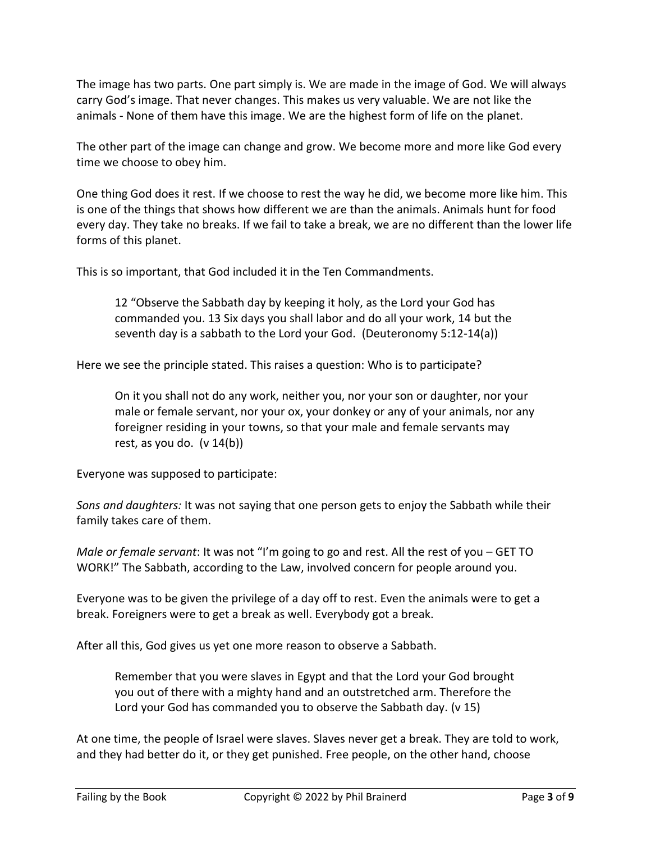The image has two parts. One part simply is. We are made in the image of God. We will always carry God's image. That never changes. This makes us very valuable. We are not like the animals - None of them have this image. We are the highest form of life on the planet.

The other part of the image can change and grow. We become more and more like God every time we choose to obey him.

One thing God does it rest. If we choose to rest the way he did, we become more like him. This is one of the things that shows how different we are than the animals. Animals hunt for food every day. They take no breaks. If we fail to take a break, we are no different than the lower life forms of this planet.

This is so important, that God included it in the Ten Commandments.

12 "Observe the Sabbath day by keeping it holy, as the Lord your God has commanded you. 13 Six days you shall labor and do all your work, 14 but the seventh day is a sabbath to the Lord your God. (Deuteronomy 5:12-14(a))

Here we see the principle stated. This raises a question: Who is to participate?

On it you shall not do any work, neither you, nor your son or daughter, nor your male or female servant, nor your ox, your donkey or any of your animals, nor any foreigner residing in your towns, so that your male and female servants may rest, as you do.  $(v 14(b))$ 

Everyone was supposed to participate:

*Sons and daughters:* It was not saying that one person gets to enjoy the Sabbath while their family takes care of them.

*Male or female servant*: It was not "I'm going to go and rest. All the rest of you – GET TO WORK!" The Sabbath, according to the Law, involved concern for people around you.

Everyone was to be given the privilege of a day off to rest. Even the animals were to get a break. Foreigners were to get a break as well. Everybody got a break.

After all this, God gives us yet one more reason to observe a Sabbath.

Remember that you were slaves in Egypt and that the Lord your God brought you out of there with a mighty hand and an outstretched arm. Therefore the Lord your God has commanded you to observe the Sabbath day. (v 15)

At one time, the people of Israel were slaves. Slaves never get a break. They are told to work, and they had better do it, or they get punished. Free people, on the other hand, choose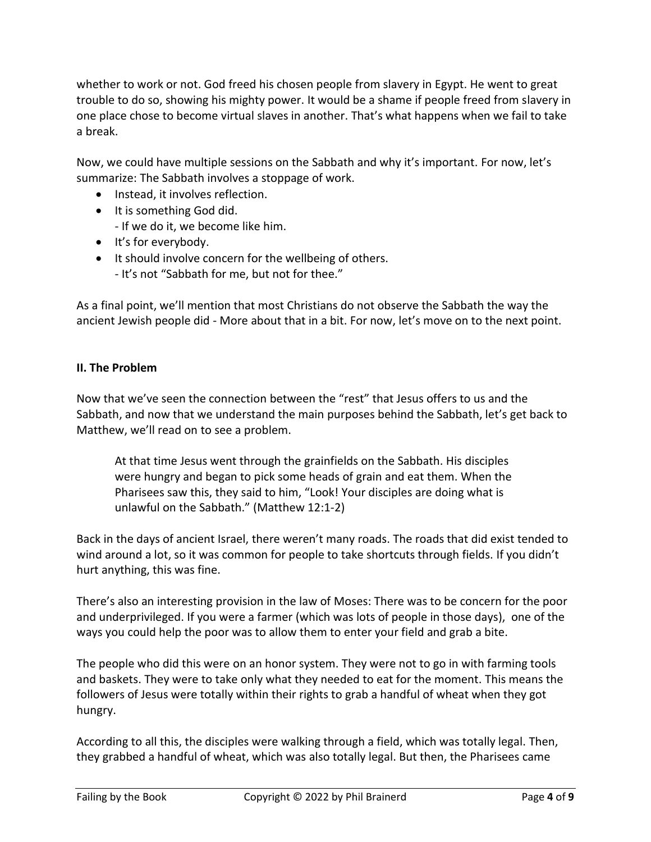whether to work or not. God freed his chosen people from slavery in Egypt. He went to great trouble to do so, showing his mighty power. It would be a shame if people freed from slavery in one place chose to become virtual slaves in another. That's what happens when we fail to take a break.

Now, we could have multiple sessions on the Sabbath and why it's important. For now, let's summarize: The Sabbath involves a stoppage of work.

- Instead, it involves reflection.
- It is something God did.

- If we do it, we become like him.

- It's for everybody.
- It should involve concern for the wellbeing of others.
	- It's not "Sabbath for me, but not for thee."

As a final point, we'll mention that most Christians do not observe the Sabbath the way the ancient Jewish people did - More about that in a bit. For now, let's move on to the next point.

### **II. The Problem**

Now that we've seen the connection between the "rest" that Jesus offers to us and the Sabbath, and now that we understand the main purposes behind the Sabbath, let's get back to Matthew, we'll read on to see a problem.

At that time Jesus went through the grainfields on the Sabbath. His disciples were hungry and began to pick some heads of grain and eat them. When the Pharisees saw this, they said to him, "Look! Your disciples are doing what is unlawful on the Sabbath." (Matthew 12:1-2)

Back in the days of ancient Israel, there weren't many roads. The roads that did exist tended to wind around a lot, so it was common for people to take shortcuts through fields. If you didn't hurt anything, this was fine.

There's also an interesting provision in the law of Moses: There was to be concern for the poor and underprivileged. If you were a farmer (which was lots of people in those days), one of the ways you could help the poor was to allow them to enter your field and grab a bite.

The people who did this were on an honor system. They were not to go in with farming tools and baskets. They were to take only what they needed to eat for the moment. This means the followers of Jesus were totally within their rights to grab a handful of wheat when they got hungry.

According to all this, the disciples were walking through a field, which was totally legal. Then, they grabbed a handful of wheat, which was also totally legal. But then, the Pharisees came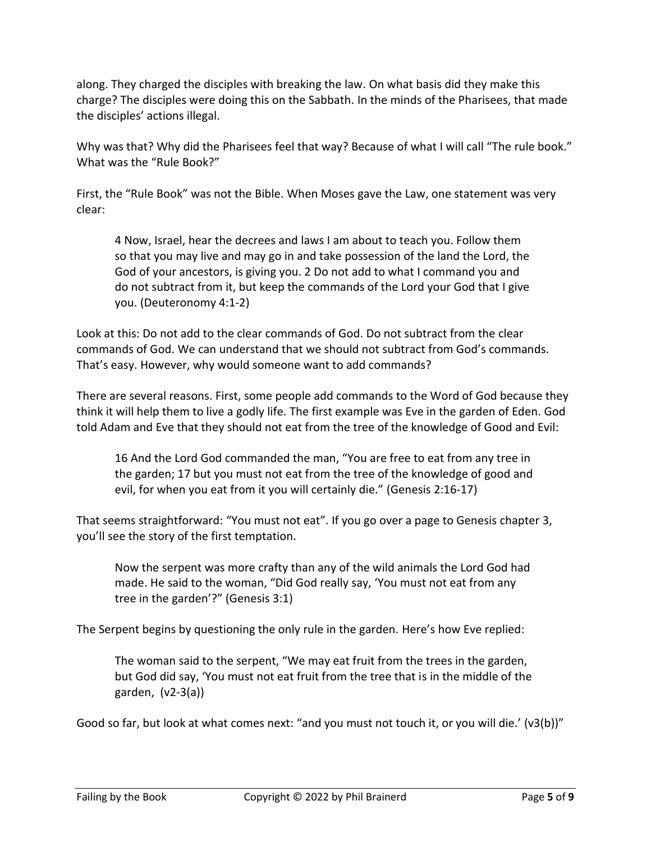along. They charged the disciples with breaking the law. On what basis did they make this charge? The disciples were doing this on the Sabbath. In the minds of the Pharisees, that made the disciples' actions illegal.

Why was that? Why did the Pharisees feel that way? Because of what I will call "The rule book." What was the "Rule Book?"

First, the "Rule Book" was not the Bible. When Moses gave the Law, one statement was very clear:

4 Now, Israel, hear the decrees and laws I am about to teach you. Follow them so that you may live and may go in and take possession of the land the Lord, the God of your ancestors, is giving you. 2 Do not add to what I command you and do not subtract from it, but keep the commands of the Lord your God that I give you. (Deuteronomy 4:1-2)

Look at this: Do not add to the clear commands of God. Do not subtract from the clear commands of God. We can understand that we should not subtract from God's commands. That's easy. However, why would someone want to add commands?

There are several reasons. First, some people add commands to the Word of God because they think it will help them to live a godly life. The first example was Eve in the garden of Eden. God told Adam and Eve that they should not eat from the tree of the knowledge of Good and Evil:

16 And the Lord God commanded the man, "You are free to eat from any tree in the garden; 17 but you must not eat from the tree of the knowledge of good and evil, for when you eat from it you will certainly die." (Genesis 2:16-17)

That seems straightforward: "You must not eat". If you go over a page to Genesis chapter 3, you'll see the story of the first temptation.

Now the serpent was more crafty than any of the wild animals the Lord God had made. He said to the woman, "Did God really say, 'You must not eat from any tree in the garden'?" (Genesis 3:1)

The Serpent begins by questioning the only rule in the garden. Here's how Eve replied:

The woman said to the serpent, "We may eat fruit from the trees in the garden, but God did say, 'You must not eat fruit from the tree that is in the middle of the garden, (v2-3(a))

Good so far, but look at what comes next: "and you must not touch it, or you will die.' (v3(b))"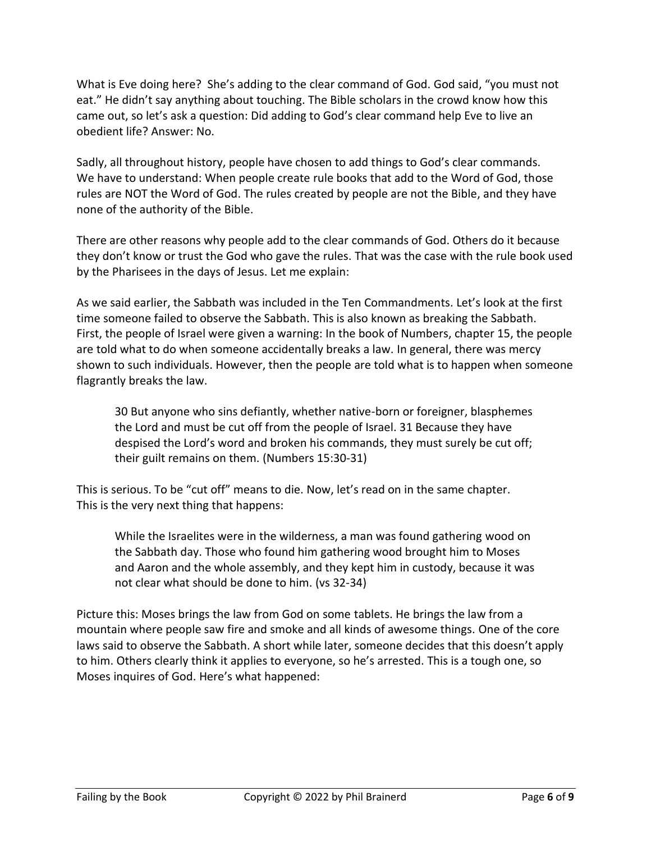What is Eve doing here? She's adding to the clear command of God. God said, "you must not eat." He didn't say anything about touching. The Bible scholars in the crowd know how this came out, so let's ask a question: Did adding to God's clear command help Eve to live an obedient life? Answer: No.

Sadly, all throughout history, people have chosen to add things to God's clear commands. We have to understand: When people create rule books that add to the Word of God, those rules are NOT the Word of God. The rules created by people are not the Bible, and they have none of the authority of the Bible.

There are other reasons why people add to the clear commands of God. Others do it because they don't know or trust the God who gave the rules. That was the case with the rule book used by the Pharisees in the days of Jesus. Let me explain:

As we said earlier, the Sabbath was included in the Ten Commandments. Let's look at the first time someone failed to observe the Sabbath. This is also known as breaking the Sabbath. First, the people of Israel were given a warning: In the book of Numbers, chapter 15, the people are told what to do when someone accidentally breaks a law. In general, there was mercy shown to such individuals. However, then the people are told what is to happen when someone flagrantly breaks the law.

30 But anyone who sins defiantly, whether native-born or foreigner, blasphemes the Lord and must be cut off from the people of Israel. 31 Because they have despised the Lord's word and broken his commands, they must surely be cut off; their guilt remains on them. (Numbers 15:30-31)

This is serious. To be "cut off" means to die. Now, let's read on in the same chapter. This is the very next thing that happens:

While the Israelites were in the wilderness, a man was found gathering wood on the Sabbath day. Those who found him gathering wood brought him to Moses and Aaron and the whole assembly, and they kept him in custody, because it was not clear what should be done to him. (vs 32-34)

Picture this: Moses brings the law from God on some tablets. He brings the law from a mountain where people saw fire and smoke and all kinds of awesome things. One of the core laws said to observe the Sabbath. A short while later, someone decides that this doesn't apply to him. Others clearly think it applies to everyone, so he's arrested. This is a tough one, so Moses inquires of God. Here's what happened: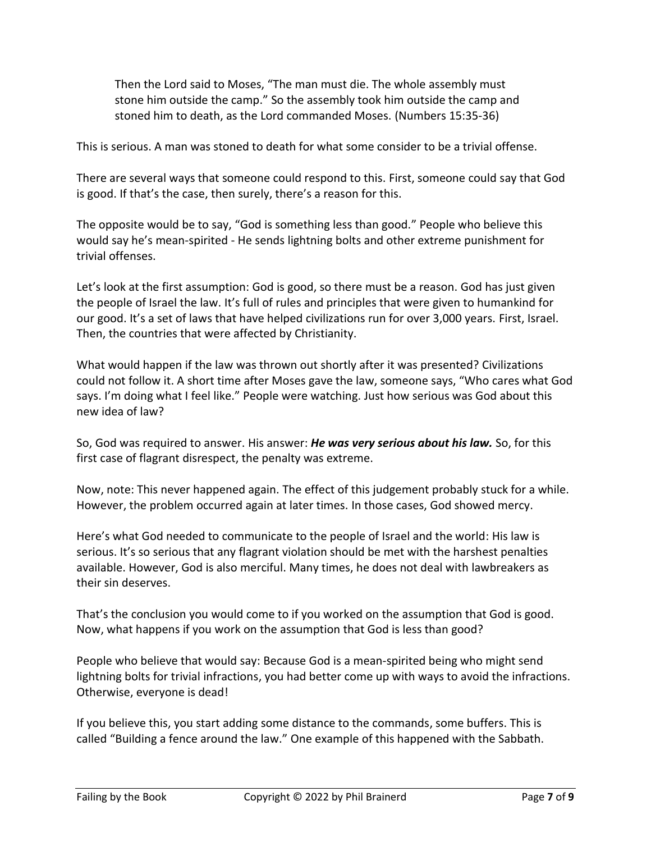Then the Lord said to Moses, "The man must die. The whole assembly must stone him outside the camp." So the assembly took him outside the camp and stoned him to death, as the Lord commanded Moses. (Numbers 15:35-36)

This is serious. A man was stoned to death for what some consider to be a trivial offense.

There are several ways that someone could respond to this. First, someone could say that God is good. If that's the case, then surely, there's a reason for this.

The opposite would be to say, "God is something less than good." People who believe this would say he's mean-spirited - He sends lightning bolts and other extreme punishment for trivial offenses.

Let's look at the first assumption: God is good, so there must be a reason. God has just given the people of Israel the law. It's full of rules and principles that were given to humankind for our good. It's a set of laws that have helped civilizations run for over 3,000 years. First, Israel. Then, the countries that were affected by Christianity.

What would happen if the law was thrown out shortly after it was presented? Civilizations could not follow it. A short time after Moses gave the law, someone says, "Who cares what God says. I'm doing what I feel like." People were watching. Just how serious was God about this new idea of law?

So, God was required to answer. His answer: *He was very serious about his law.* So, for this first case of flagrant disrespect, the penalty was extreme.

Now, note: This never happened again. The effect of this judgement probably stuck for a while. However, the problem occurred again at later times. In those cases, God showed mercy.

Here's what God needed to communicate to the people of Israel and the world: His law is serious. It's so serious that any flagrant violation should be met with the harshest penalties available. However, God is also merciful. Many times, he does not deal with lawbreakers as their sin deserves.

That's the conclusion you would come to if you worked on the assumption that God is good. Now, what happens if you work on the assumption that God is less than good?

People who believe that would say: Because God is a mean-spirited being who might send lightning bolts for trivial infractions, you had better come up with ways to avoid the infractions. Otherwise, everyone is dead!

If you believe this, you start adding some distance to the commands, some buffers. This is called "Building a fence around the law." One example of this happened with the Sabbath.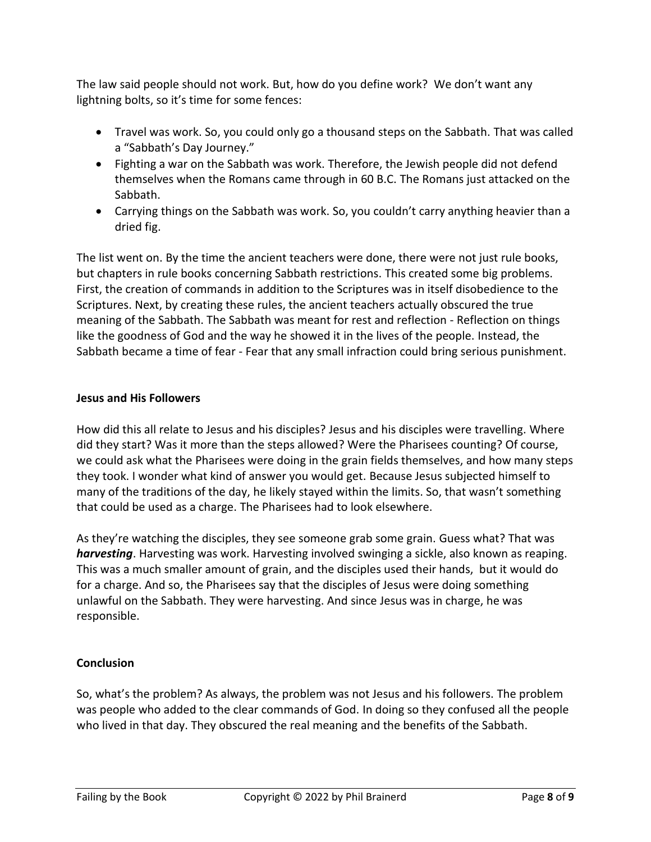The law said people should not work. But, how do you define work? We don't want any lightning bolts, so it's time for some fences:

- Travel was work. So, you could only go a thousand steps on the Sabbath. That was called a "Sabbath's Day Journey."
- Fighting a war on the Sabbath was work. Therefore, the Jewish people did not defend themselves when the Romans came through in 60 B.C. The Romans just attacked on the Sabbath.
- Carrying things on the Sabbath was work. So, you couldn't carry anything heavier than a dried fig.

The list went on. By the time the ancient teachers were done, there were not just rule books, but chapters in rule books concerning Sabbath restrictions. This created some big problems. First, the creation of commands in addition to the Scriptures was in itself disobedience to the Scriptures. Next, by creating these rules, the ancient teachers actually obscured the true meaning of the Sabbath. The Sabbath was meant for rest and reflection - Reflection on things like the goodness of God and the way he showed it in the lives of the people. Instead, the Sabbath became a time of fear - Fear that any small infraction could bring serious punishment.

### **Jesus and His Followers**

How did this all relate to Jesus and his disciples? Jesus and his disciples were travelling. Where did they start? Was it more than the steps allowed? Were the Pharisees counting? Of course, we could ask what the Pharisees were doing in the grain fields themselves, and how many steps they took. I wonder what kind of answer you would get. Because Jesus subjected himself to many of the traditions of the day, he likely stayed within the limits. So, that wasn't something that could be used as a charge. The Pharisees had to look elsewhere.

As they're watching the disciples, they see someone grab some grain. Guess what? That was *harvesting*. Harvesting was work. Harvesting involved swinging a sickle, also known as reaping. This was a much smaller amount of grain, and the disciples used their hands, but it would do for a charge. And so, the Pharisees say that the disciples of Jesus were doing something unlawful on the Sabbath. They were harvesting. And since Jesus was in charge, he was responsible.

### **Conclusion**

So, what's the problem? As always, the problem was not Jesus and his followers. The problem was people who added to the clear commands of God. In doing so they confused all the people who lived in that day. They obscured the real meaning and the benefits of the Sabbath.